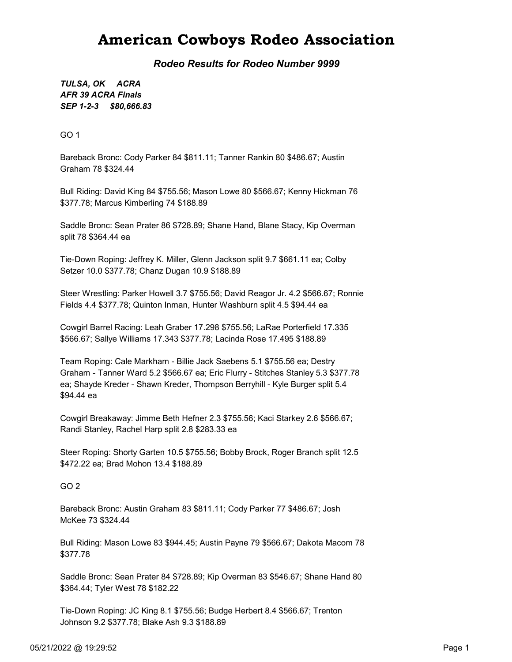## American Cowboys Rodeo Association

Rodeo Results for Rodeo Number 9999

SEP 1-2-3 \$80,666.83 TULSA, OK ACRA AFR 39 ACRA Finals

GO 1

Bareback Bronc: Cody Parker 84 \$811.11; Tanner Rankin 80 \$486.67; Austin Graham 78 \$324.44

Bull Riding: David King 84 \$755.56; Mason Lowe 80 \$566.67; Kenny Hickman 76 \$377.78; Marcus Kimberling 74 \$188.89

Saddle Bronc: Sean Prater 86 \$728.89; Shane Hand, Blane Stacy, Kip Overman split 78 \$364.44 ea

Tie-Down Roping: Jeffrey K. Miller, Glenn Jackson split 9.7 \$661.11 ea; Colby Setzer 10.0 \$377.78; Chanz Dugan 10.9 \$188.89

Steer Wrestling: Parker Howell 3.7 \$755.56; David Reagor Jr. 4.2 \$566.67; Ronnie Fields 4.4 \$377.78; Quinton Inman, Hunter Washburn split 4.5 \$94.44 ea

Cowgirl Barrel Racing: Leah Graber 17.298 \$755.56; LaRae Porterfield 17.335 \$566.67; Sallye Williams 17.343 \$377.78; Lacinda Rose 17.495 \$188.89

Team Roping: Cale Markham - Billie Jack Saebens 5.1 \$755.56 ea; Destry Graham - Tanner Ward 5.2 \$566.67 ea; Eric Flurry - Stitches Stanley 5.3 \$377.78 ea; Shayde Kreder - Shawn Kreder, Thompson Berryhill - Kyle Burger split 5.4 \$94.44 ea

Cowgirl Breakaway: Jimme Beth Hefner 2.3 \$755.56; Kaci Starkey 2.6 \$566.67; Randi Stanley, Rachel Harp split 2.8 \$283.33 ea

Steer Roping: Shorty Garten 10.5 \$755.56; Bobby Brock, Roger Branch split 12.5 \$472.22 ea; Brad Mohon 13.4 \$188.89

GO 2

Bareback Bronc: Austin Graham 83 \$811.11; Cody Parker 77 \$486.67; Josh McKee 73 \$324.44

Bull Riding: Mason Lowe 83 \$944.45; Austin Payne 79 \$566.67; Dakota Macom 78 \$377.78

Saddle Bronc: Sean Prater 84 \$728.89; Kip Overman 83 \$546.67; Shane Hand 80 \$364.44; Tyler West 78 \$182.22

Tie-Down Roping: JC King 8.1 \$755.56; Budge Herbert 8.4 \$566.67; Trenton Johnson 9.2 \$377.78; Blake Ash 9.3 \$188.89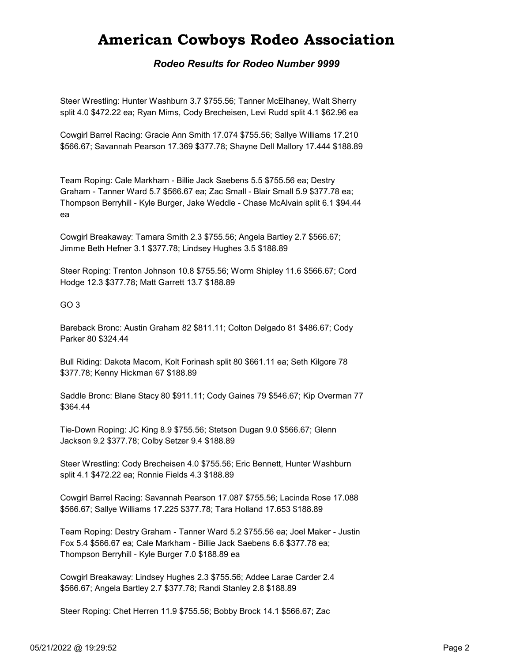# American Cowboys Rodeo Association

### Rodeo Results for Rodeo Number 9999

Steer Wrestling: Hunter Washburn 3.7 \$755.56; Tanner McElhaney, Walt Sherry split 4.0 \$472.22 ea; Ryan Mims, Cody Brecheisen, Levi Rudd split 4.1 \$62.96 ea

Cowgirl Barrel Racing: Gracie Ann Smith 17.074 \$755.56; Sallye Williams 17.210 \$566.67; Savannah Pearson 17.369 \$377.78; Shayne Dell Mallory 17.444 \$188.89

Team Roping: Cale Markham - Billie Jack Saebens 5.5 \$755.56 ea; Destry Graham - Tanner Ward 5.7 \$566.67 ea; Zac Small - Blair Small 5.9 \$377.78 ea; Thompson Berryhill - Kyle Burger, Jake Weddle - Chase McAlvain split 6.1 \$94.44 ea

Cowgirl Breakaway: Tamara Smith 2.3 \$755.56; Angela Bartley 2.7 \$566.67; Jimme Beth Hefner 3.1 \$377.78; Lindsey Hughes 3.5 \$188.89

Steer Roping: Trenton Johnson 10.8 \$755.56; Worm Shipley 11.6 \$566.67; Cord Hodge 12.3 \$377.78; Matt Garrett 13.7 \$188.89

#### GO 3

Bareback Bronc: Austin Graham 82 \$811.11; Colton Delgado 81 \$486.67; Cody Parker 80 \$324.44

Bull Riding: Dakota Macom, Kolt Forinash split 80 \$661.11 ea; Seth Kilgore 78 \$377.78; Kenny Hickman 67 \$188.89

Saddle Bronc: Blane Stacy 80 \$911.11; Cody Gaines 79 \$546.67; Kip Overman 77 \$364.44

Tie-Down Roping: JC King 8.9 \$755.56; Stetson Dugan 9.0 \$566.67; Glenn Jackson 9.2 \$377.78; Colby Setzer 9.4 \$188.89

Steer Wrestling: Cody Brecheisen 4.0 \$755.56; Eric Bennett, Hunter Washburn split 4.1 \$472.22 ea; Ronnie Fields 4.3 \$188.89

Cowgirl Barrel Racing: Savannah Pearson 17.087 \$755.56; Lacinda Rose 17.088 \$566.67; Sallye Williams 17.225 \$377.78; Tara Holland 17.653 \$188.89

Team Roping: Destry Graham - Tanner Ward 5.2 \$755.56 ea; Joel Maker - Justin Fox 5.4 \$566.67 ea; Cale Markham - Billie Jack Saebens 6.6 \$377.78 ea; Thompson Berryhill - Kyle Burger 7.0 \$188.89 ea

Cowgirl Breakaway: Lindsey Hughes 2.3 \$755.56; Addee Larae Carder 2.4 \$566.67; Angela Bartley 2.7 \$377.78; Randi Stanley 2.8 \$188.89

Steer Roping: Chet Herren 11.9 \$755.56; Bobby Brock 14.1 \$566.67; Zac